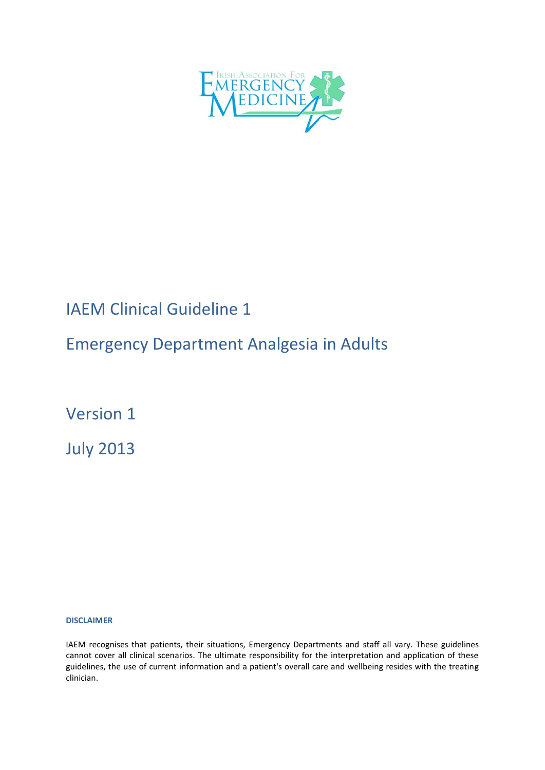

# IAEM Clinical Guideline 1

# Emergency Department Analgesia in Adults

Version 1

July 2013

#### **DISCLAIMER**

IAEM recognises that patients, their situations, Emergency Departments and staff all vary. These guidelines cannot cover all clinical scenarios. The ultimate responsibility for the interpretation and application of these guidelines, the use of current information and a patient's overall care and wellbeing resides with the treating clinician.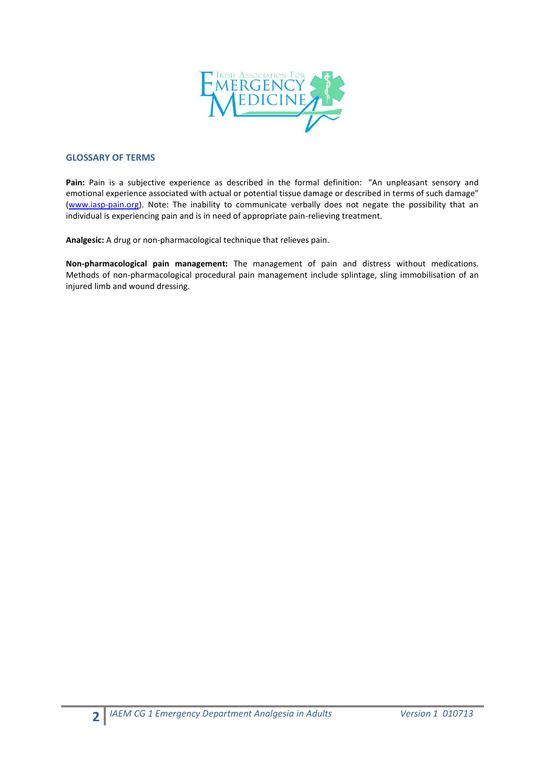

#### **GLOSSARY OF TERMS**

Pain: Pain is a subjective experience as described in the formal definition: "An unpleasant sensory and emotional experience associated with actual or potential tissue damage or described in terms of such damage" [\(www.iasp-pain.org\)](http://www.iasp-pain.org/). Note: The inability to communicate verbally does not negate the possibility that an individual is experiencing pain and is in need of appropriate pain-relieving treatment.

**Analgesic:** A drug or non-pharmacological technique that relieves pain.

**Non-pharmacological pain management:** The management of pain and distress without medications. Methods of non-pharmacological procedural pain management include splintage, sling immobilisation of an injured limb and wound dressing.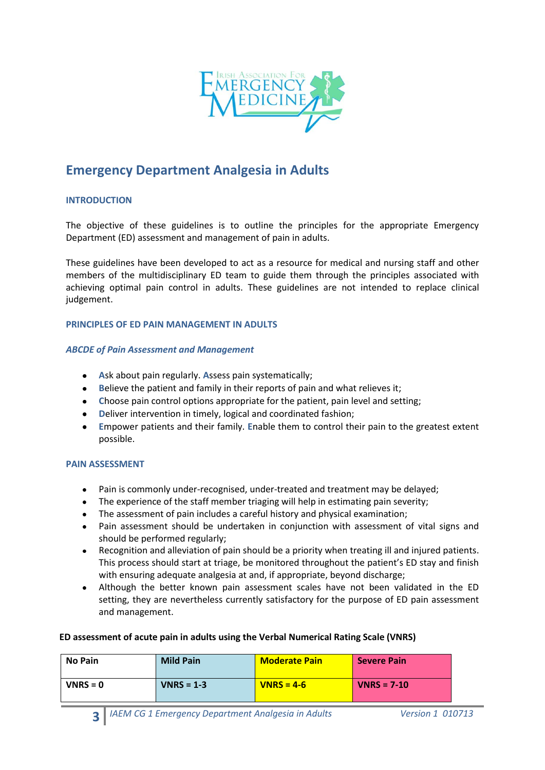

## **Emergency Department Analgesia in Adults**

#### **INTRODUCTION**

The objective of these guidelines is to outline the principles for the appropriate Emergency Department (ED) assessment and management of pain in adults.

These guidelines have been developed to act as a resource for medical and nursing staff and other members of the multidisciplinary ED team to guide them through the principles associated with achieving optimal pain control in adults. These guidelines are not intended to replace clinical judgement.

#### **PRINCIPLES OF ED PAIN MANAGEMENT IN ADULTS**

#### *ABCDE of Pain Assessment and Management*

- **A**sk about pain regularly. **A**ssess pain systematically;
- **Believe the patient and family in their reports of pain and what relieves it;**
- **Choose pain control options appropriate for the patient, pain level and setting;**
- **•** Deliver intervention in timely, logical and coordinated fashion;
- $\bullet$ **E**mpower patients and their family. **E**nable them to control their pain to the greatest extent possible.

#### **PAIN ASSESSMENT**

- Pain is commonly under-recognised, under-treated and treatment may be delayed;
- The experience of the staff member triaging will help in estimating pain severity;
- The assessment of pain includes a careful history and physical examination;
- Pain assessment should be undertaken in conjunction with assessment of vital signs and should be performed regularly;
- Recognition and alleviation of pain should be a priority when treating ill and injured patients.  $\bullet$ This process should start at triage, be monitored throughout the patient's ED stay and finish with ensuring adequate analgesia at and, if appropriate, beyond discharge;
- Although the better known pain assessment scales have not been validated in the ED setting, they are nevertheless currently satisfactory for the purpose of ED pain assessment and management.

#### **ED assessment of acute pain in adults using the Verbal Numerical Rating Scale (VNRS)**

| <b>No Pain</b> | <b>Mild Pain</b> | <b>Moderate Pain</b> | <b>Severe Pain</b> |
|----------------|------------------|----------------------|--------------------|
| $VNRS = 0$     | $VNRS = 1-3$     | $VNRS = 4-6$         | $VNRS = 7-10$      |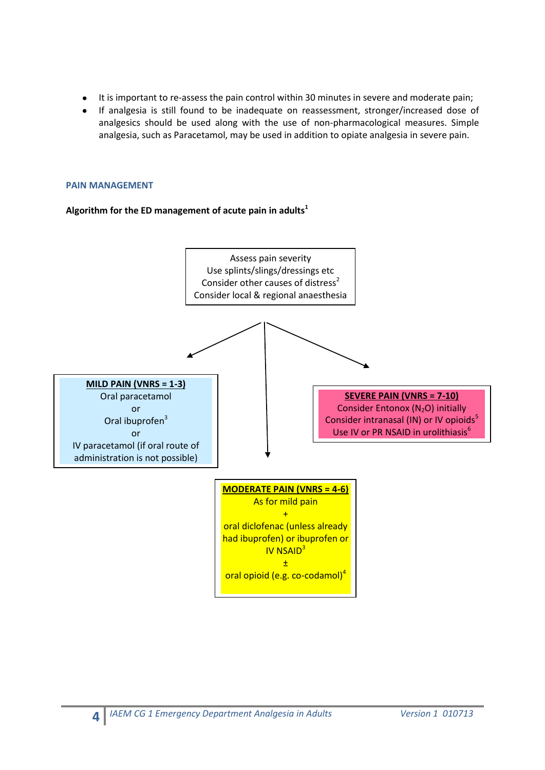- It is important to re-assess the pain control within 30 minutes in severe and moderate pain;
- If analgesia is still found to be inadequate on reassessment, stronger/increased dose of analgesics should be used along with the use of non-pharmacological measures. Simple analgesia, such as Paracetamol, may be used in addition to opiate analgesia in severe pain.

### **PAIN MANAGEMENT**

### **Algorithm for the ED management of acute pain in adults<sup>1</sup>**